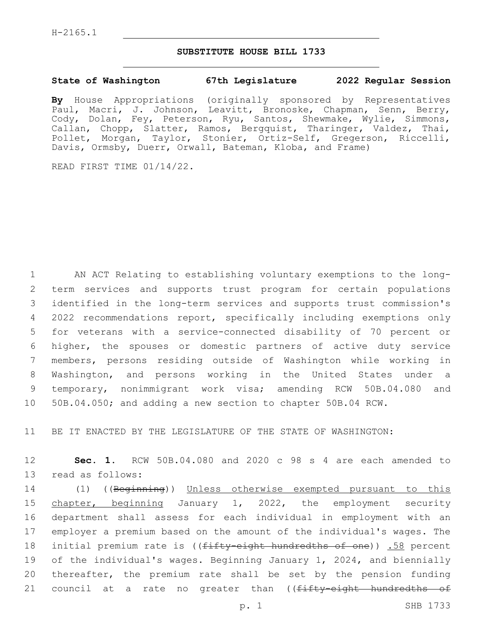## **SUBSTITUTE HOUSE BILL 1733**

## **State of Washington 67th Legislature 2022 Regular Session**

**By** House Appropriations (originally sponsored by Representatives Paul, Macri, J. Johnson, Leavitt, Bronoske, Chapman, Senn, Berry, Cody, Dolan, Fey, Peterson, Ryu, Santos, Shewmake, Wylie, Simmons, Callan, Chopp, Slatter, Ramos, Bergquist, Tharinger, Valdez, Thai, Pollet, Morgan, Taylor, Stonier, Ortiz-Self, Gregerson, Riccelli, Davis, Ormsby, Duerr, Orwall, Bateman, Kloba, and Frame)

READ FIRST TIME 01/14/22.

 AN ACT Relating to establishing voluntary exemptions to the long- term services and supports trust program for certain populations identified in the long-term services and supports trust commission's 2022 recommendations report, specifically including exemptions only for veterans with a service-connected disability of 70 percent or higher, the spouses or domestic partners of active duty service members, persons residing outside of Washington while working in Washington, and persons working in the United States under a temporary, nonimmigrant work visa; amending RCW 50B.04.080 and 50B.04.050; and adding a new section to chapter 50B.04 RCW.

11 BE IT ENACTED BY THE LEGISLATURE OF THE STATE OF WASHINGTON:

12 **Sec. 1.** RCW 50B.04.080 and 2020 c 98 s 4 are each amended to 13 read as follows:

 (1) ((Beginning)) Unless otherwise exempted pursuant to this 15 chapter, beginning January 1, 2022, the employment security department shall assess for each individual in employment with an employer a premium based on the amount of the individual's wages. The 18 initial premium rate is ((fifty-eight hundredths of one)) .58 percent of the individual's wages. Beginning January 1, 2024, and biennially thereafter, the premium rate shall be set by the pension funding 21 council at a rate no greater than ((fifty-eight hundredths of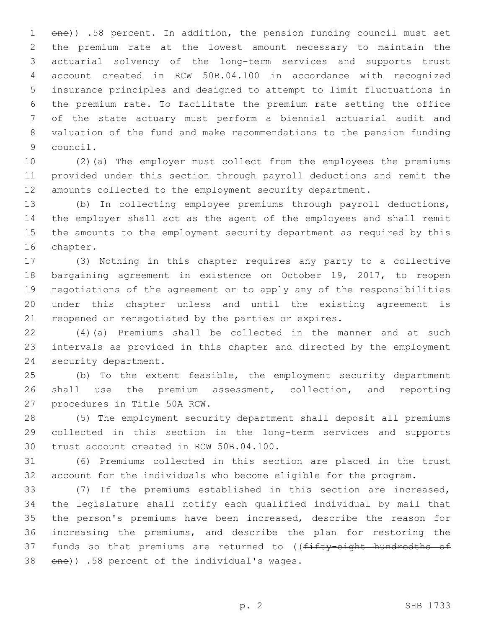1 one)) .58 percent. In addition, the pension funding council must set the premium rate at the lowest amount necessary to maintain the actuarial solvency of the long-term services and supports trust account created in RCW 50B.04.100 in accordance with recognized insurance principles and designed to attempt to limit fluctuations in the premium rate. To facilitate the premium rate setting the office of the state actuary must perform a biennial actuarial audit and valuation of the fund and make recommendations to the pension funding 9 council.

 (2)(a) The employer must collect from the employees the premiums provided under this section through payroll deductions and remit the amounts collected to the employment security department.

 (b) In collecting employee premiums through payroll deductions, the employer shall act as the agent of the employees and shall remit the amounts to the employment security department as required by this 16 chapter.

 (3) Nothing in this chapter requires any party to a collective bargaining agreement in existence on October 19, 2017, to reopen negotiations of the agreement or to apply any of the responsibilities under this chapter unless and until the existing agreement is reopened or renegotiated by the parties or expires.

 (4)(a) Premiums shall be collected in the manner and at such intervals as provided in this chapter and directed by the employment 24 security department.

 (b) To the extent feasible, the employment security department shall use the premium assessment, collection, and reporting 27 procedures in Title 50A RCW.

 (5) The employment security department shall deposit all premiums collected in this section in the long-term services and supports 30 trust account created in RCW 50B.04.100.

 (6) Premiums collected in this section are placed in the trust account for the individuals who become eligible for the program.

 (7) If the premiums established in this section are increased, the legislature shall notify each qualified individual by mail that the person's premiums have been increased, describe the reason for increasing the premiums, and describe the plan for restoring the 37 funds so that premiums are returned to ((fifty-eight hundredths of  $\theta$ )  $.58$  percent of the individual's wages.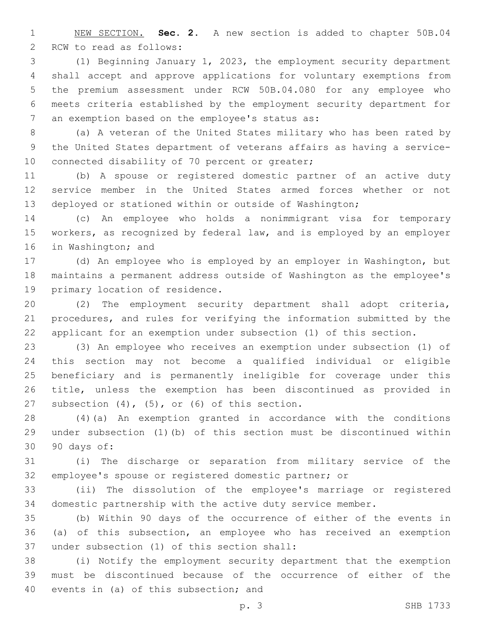NEW SECTION. **Sec. 2.** A new section is added to chapter 50B.04 2 RCW to read as follows:

 (1) Beginning January 1, 2023, the employment security department shall accept and approve applications for voluntary exemptions from the premium assessment under RCW 50B.04.080 for any employee who meets criteria established by the employment security department for 7 an exemption based on the employee's status as:

 (a) A veteran of the United States military who has been rated by the United States department of veterans affairs as having a service-10 connected disability of 70 percent or greater;

 (b) A spouse or registered domestic partner of an active duty service member in the United States armed forces whether or not deployed or stationed within or outside of Washington;

 (c) An employee who holds a nonimmigrant visa for temporary workers, as recognized by federal law, and is employed by an employer 16 in Washington; and

 (d) An employee who is employed by an employer in Washington, but maintains a permanent address outside of Washington as the employee's 19 primary location of residence.

 (2) The employment security department shall adopt criteria, procedures, and rules for verifying the information submitted by the applicant for an exemption under subsection (1) of this section.

 (3) An employee who receives an exemption under subsection (1) of this section may not become a qualified individual or eligible beneficiary and is permanently ineligible for coverage under this title, unless the exemption has been discontinued as provided in 27 subsection  $(4)$ ,  $(5)$ , or  $(6)$  of this section.

 (4)(a) An exemption granted in accordance with the conditions under subsection (1)(b) of this section must be discontinued within 90 days of:30

 (i) The discharge or separation from military service of the employee's spouse or registered domestic partner; or

 (ii) The dissolution of the employee's marriage or registered domestic partnership with the active duty service member.

 (b) Within 90 days of the occurrence of either of the events in (a) of this subsection, an employee who has received an exemption 37 under subsection (1) of this section shall:

 (i) Notify the employment security department that the exemption must be discontinued because of the occurrence of either of the 40 events in (a) of this subsection; and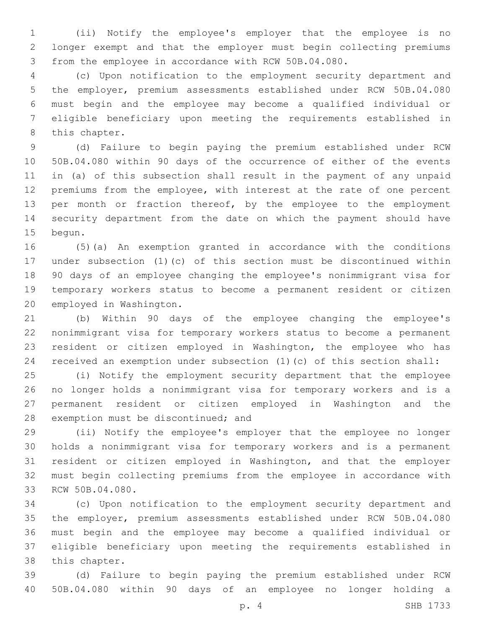(ii) Notify the employee's employer that the employee is no longer exempt and that the employer must begin collecting premiums from the employee in accordance with RCW 50B.04.080.

 (c) Upon notification to the employment security department and the employer, premium assessments established under RCW 50B.04.080 must begin and the employee may become a qualified individual or eligible beneficiary upon meeting the requirements established in 8 this chapter.

 (d) Failure to begin paying the premium established under RCW 50B.04.080 within 90 days of the occurrence of either of the events in (a) of this subsection shall result in the payment of any unpaid premiums from the employee, with interest at the rate of one percent 13 per month or fraction thereof, by the employee to the employment security department from the date on which the payment should have 15 begun.

 (5)(a) An exemption granted in accordance with the conditions under subsection (1)(c) of this section must be discontinued within 90 days of an employee changing the employee's nonimmigrant visa for temporary workers status to become a permanent resident or citizen 20 employed in Washington.

 (b) Within 90 days of the employee changing the employee's nonimmigrant visa for temporary workers status to become a permanent resident or citizen employed in Washington, the employee who has received an exemption under subsection (1)(c) of this section shall:

 (i) Notify the employment security department that the employee no longer holds a nonimmigrant visa for temporary workers and is a permanent resident or citizen employed in Washington and the 28 exemption must be discontinued; and

 (ii) Notify the employee's employer that the employee no longer holds a nonimmigrant visa for temporary workers and is a permanent resident or citizen employed in Washington, and that the employer must begin collecting premiums from the employee in accordance with 33 RCW 50B.04.080.

 (c) Upon notification to the employment security department and the employer, premium assessments established under RCW 50B.04.080 must begin and the employee may become a qualified individual or eligible beneficiary upon meeting the requirements established in 38 this chapter.

 (d) Failure to begin paying the premium established under RCW 50B.04.080 within 90 days of an employee no longer holding a

p. 4 SHB 1733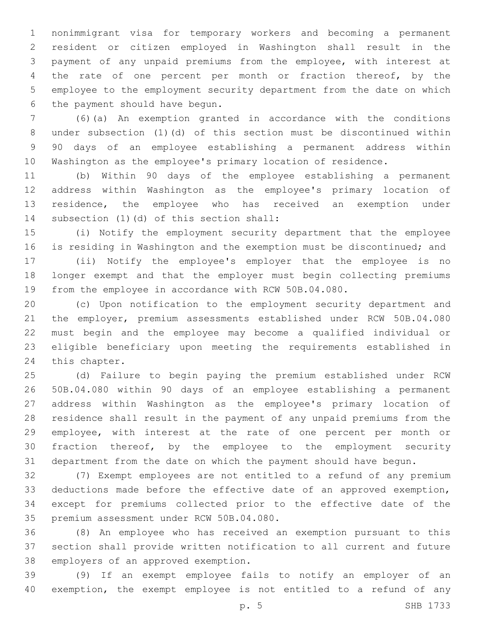nonimmigrant visa for temporary workers and becoming a permanent resident or citizen employed in Washington shall result in the payment of any unpaid premiums from the employee, with interest at 4 the rate of one percent per month or fraction thereof, by the employee to the employment security department from the date on which 6 the payment should have begun.

 (6)(a) An exemption granted in accordance with the conditions under subsection (1)(d) of this section must be discontinued within 90 days of an employee establishing a permanent address within Washington as the employee's primary location of residence.

 (b) Within 90 days of the employee establishing a permanent address within Washington as the employee's primary location of 13 residence, the employee who has received an exemption under 14 subsection (1)(d) of this section shall:

 (i) Notify the employment security department that the employee is residing in Washington and the exemption must be discontinued; and

 (ii) Notify the employee's employer that the employee is no longer exempt and that the employer must begin collecting premiums from the employee in accordance with RCW 50B.04.080.

 (c) Upon notification to the employment security department and the employer, premium assessments established under RCW 50B.04.080 must begin and the employee may become a qualified individual or eligible beneficiary upon meeting the requirements established in 24 this chapter.

 (d) Failure to begin paying the premium established under RCW 50B.04.080 within 90 days of an employee establishing a permanent address within Washington as the employee's primary location of residence shall result in the payment of any unpaid premiums from the employee, with interest at the rate of one percent per month or fraction thereof, by the employee to the employment security department from the date on which the payment should have begun.

 (7) Exempt employees are not entitled to a refund of any premium deductions made before the effective date of an approved exemption, except for premiums collected prior to the effective date of the 35 premium assessment under RCW 50B.04.080.

 (8) An employee who has received an exemption pursuant to this section shall provide written notification to all current and future 38 employers of an approved exemption.

 (9) If an exempt employee fails to notify an employer of an exemption, the exempt employee is not entitled to a refund of any

p. 5 SHB 1733